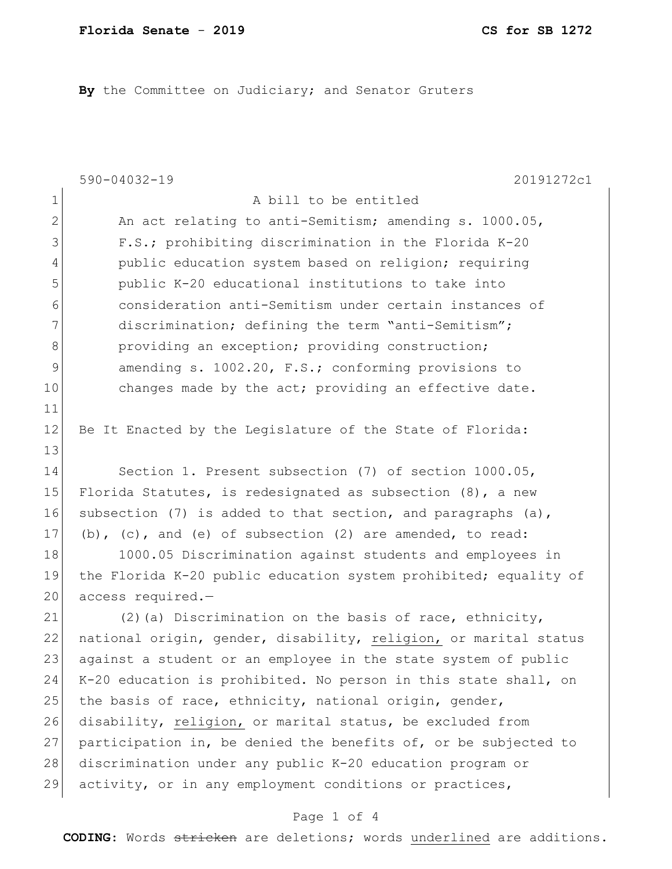By the Committee on Judiciary; and Senator Gruters

|                | $590 - 04032 - 19$<br>20191272c1                                 |
|----------------|------------------------------------------------------------------|
| $\mathbf 1$    | A bill to be entitled                                            |
| $\overline{2}$ | An act relating to anti-Semitism; amending s. 1000.05,           |
| 3              | F.S.; prohibiting discrimination in the Florida K-20             |
| 4              | public education system based on religion; requiring             |
| 5              | public K-20 educational institutions to take into                |
| 6              | consideration anti-Semitism under certain instances of           |
| 7              | discrimination; defining the term "anti-Semitism";               |
| 8              | providing an exception; providing construction;                  |
| 9              | amending s. 1002.20, F.S.; conforming provisions to              |
| 10             | changes made by the act; providing an effective date.            |
| 11             |                                                                  |
| 12             | Be It Enacted by the Legislature of the State of Florida:        |
| 13             |                                                                  |
| 14             | Section 1. Present subsection (7) of section 1000.05,            |
| 15             | Florida Statutes, is redesignated as subsection $(8)$ , a new    |
| 16             | subsection (7) is added to that section, and paragraphs $(a)$ ,  |
| 17             | (b), $(c)$ , and $(e)$ of subsection $(2)$ are amended, to read: |
| 18             | 1000.05 Discrimination against students and employees in         |
| 19             | the Florida K-20 public education system prohibited; equality of |
| 20             | access required.-                                                |
| 21             | (2) (a) Discrimination on the basis of race, ethnicity,          |
| 22             | national origin, gender, disability, religion, or marital status |
| 23             | against a student or an employee in the state system of public   |
| 24             | K-20 education is prohibited. No person in this state shall, on  |
| 25             | the basis of race, ethnicity, national origin, gender,           |
| 26             | disability, religion, or marital status, be excluded from        |
| 27             | participation in, be denied the benefits of, or be subjected to  |
| 28             | discrimination under any public K-20 education program or        |
| 29             | activity, or in any employment conditions or practices,          |
|                |                                                                  |

## Page 1 of 4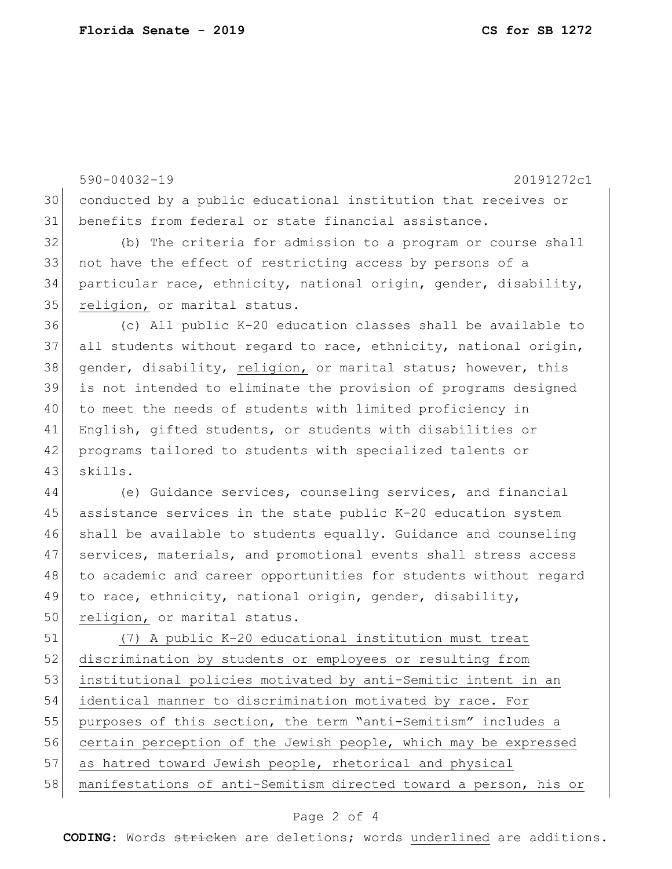|    | $590 - 04032 - 19$<br>20191272c1                                 |
|----|------------------------------------------------------------------|
| 30 | conducted by a public educational institution that receives or   |
| 31 | benefits from federal or state financial assistance.             |
| 32 | (b) The criteria for admission to a program or course shall      |
| 33 | not have the effect of restricting access by persons of a        |
| 34 | particular race, ethnicity, national origin, gender, disability, |
| 35 | religion, or marital status.                                     |
| 36 | (c) All public K-20 education classes shall be available to      |
| 37 | all students without regard to race, ethnicity, national origin, |
| 38 | gender, disability, religion, or marital status; however, this   |
| 39 | is not intended to eliminate the provision of programs designed  |
| 40 | to meet the needs of students with limited proficiency in        |
| 41 | English, gifted students, or students with disabilities or       |
| 42 | programs tailored to students with specialized talents or        |
| 43 | skills.                                                          |
| 44 | (e) Guidance services, counseling services, and financial        |
| 45 | assistance services in the state public K-20 education system    |
| 46 | shall be available to students equally. Guidance and counseling  |
| 47 | services, materials, and promotional events shall stress access  |
| 48 | to academic and career opportunities for students without regard |
| 49 | to race, ethnicity, national origin, gender, disability,         |
| 50 | religion, or marital status.                                     |
| 51 | (7) A public K-20 educational institution must treat             |
| 52 | discrimination by students or employees or resulting from        |
| 53 | institutional policies motivated by anti-Semitic intent in an    |
| 54 | identical manner to discrimination motivated by race. For        |
| 55 | purposes of this section, the term "anti-Semitism" includes a    |
| 56 | certain perception of the Jewish people, which may be expressed  |
| 57 | as hatred toward Jewish people, rhetorical and physical          |
| 58 | manifestations of anti-Semitism directed toward a person, his or |

## Page 2 of 4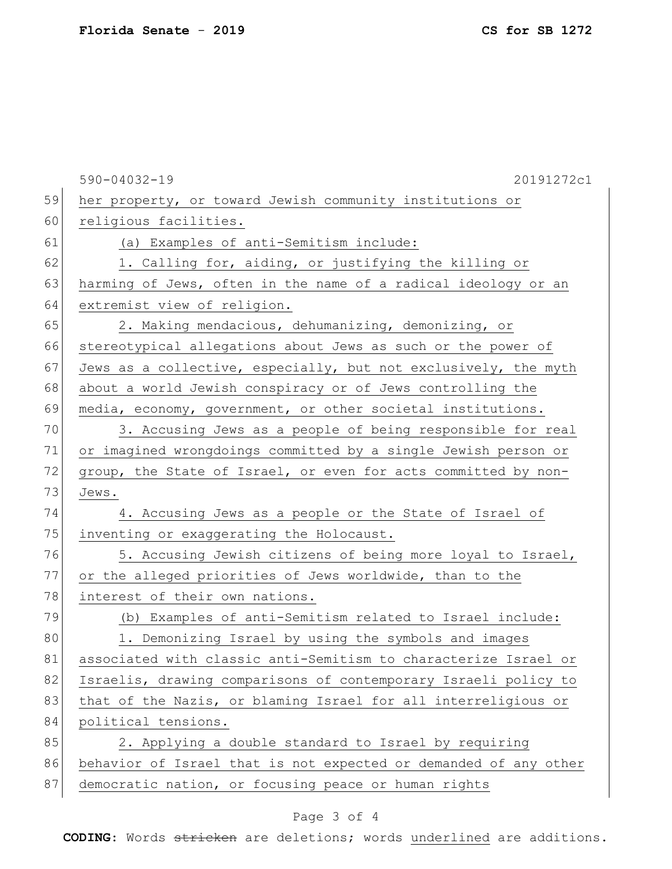|    | $590 - 04032 - 19$<br>20191272c1                                 |
|----|------------------------------------------------------------------|
| 59 | her property, or toward Jewish community institutions or         |
| 60 | religious facilities.                                            |
| 61 | (a) Examples of anti-Semitism include:                           |
| 62 | 1. Calling for, aiding, or justifying the killing or             |
| 63 | harming of Jews, often in the name of a radical ideology or an   |
| 64 | extremist view of religion.                                      |
| 65 | 2. Making mendacious, dehumanizing, demonizing, or               |
| 66 | stereotypical allegations about Jews as such or the power of     |
| 67 | Jews as a collective, especially, but not exclusively, the myth  |
| 68 | about a world Jewish conspiracy or of Jews controlling the       |
| 69 | media, economy, government, or other societal institutions.      |
| 70 | 3. Accusing Jews as a people of being responsible for real       |
| 71 | or imagined wrongdoings committed by a single Jewish person or   |
| 72 | group, the State of Israel, or even for acts committed by non-   |
| 73 | Jews.                                                            |
| 74 | 4. Accusing Jews as a people or the State of Israel of           |
| 75 | inventing or exaggerating the Holocaust.                         |
| 76 | 5. Accusing Jewish citizens of being more loyal to Israel,       |
| 77 | or the alleged priorities of Jews worldwide, than to the         |
| 78 | interest of their own nations.                                   |
| 79 | (b) Examples of anti-Semitism related to Israel include:         |
| 80 | 1. Demonizing Israel by using the symbols and images             |
| 81 | associated with classic anti-Semitism to characterize Israel or  |
| 82 | Israelis, drawing comparisons of contemporary Israeli policy to  |
| 83 | that of the Nazis, or blaming Israel for all interreligious or   |
| 84 | political tensions.                                              |
| 85 | 2. Applying a double standard to Israel by requiring             |
| 86 | behavior of Israel that is not expected or demanded of any other |
| 87 | democratic nation, or focusing peace or human rights             |

## Page 3 of 4